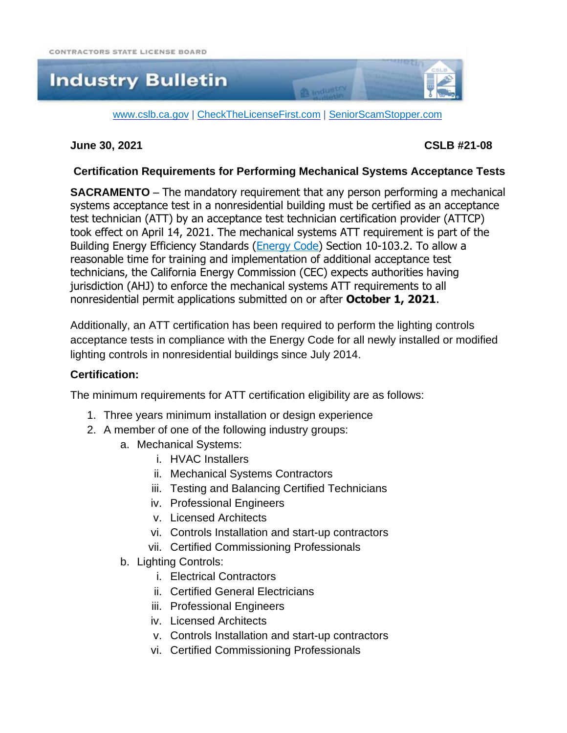# **Industry Bulletin**

[www.cslb.ca.gov](http://www.cslb.ca.gov/) | [CheckTheLicenseFirst.com](http://www.checkthelicensefirst.com/) | [SeniorScamStopper.com](http://www.seniorscamstopper.com/)

#### **June 30, 2021 CSLB #21-08**

### **Certification Requirements for Performing Mechanical Systems Acceptance Tests**

**CA** industry

**SACRAMENTO** – The mandatory requirement that any person performing a mechanical systems acceptance test in a nonresidential building must be certified as an acceptance test technician (ATT) by an acceptance test technician certification provider (ATTCP) took effect on April 14, 2021. The mechanical systems ATT requirement is part of the Building Energy Efficiency Standards [\(Energy](https://www.energy.ca.gov/programs-and-topics/programs/building-energy-efficiency-standards/2019-building-energy-efficiency) Code) Section 10-103.2. To allow a reasonable time for training and implementation of additional acceptance test technicians, the California Energy Commission (CEC) expects authorities having jurisdiction (AHJ) to enforce the mechanical systems ATT requirements to all nonresidential permit applications submitted on or after **October 1, 2021**.

Additionally, an ATT certification has been required to perform the lighting controls acceptance tests in compliance with the Energy Code for all newly installed or modified lighting controls in nonresidential buildings since July 2014.

#### **Certification:**

The minimum requirements for ATT certification eligibility are as follows:

- 1. Three years minimum installation or design experience
- 2. A member of one of the following industry groups:
	- a. Mechanical Systems:
		- i. HVAC Installers
		- ii. Mechanical Systems Contractors
		- iii. Testing and Balancing Certified Technicians
		- iv. Professional Engineers
		- v. Licensed Architects
		- vi. Controls Installation and start-up contractors
		- vii. Certified Commissioning Professionals
	- b. Lighting Controls:
		- i. Electrical Contractors
		- ii. Certified General Electricians
		- iii. Professional Engineers
		- iv. Licensed Architects
		- v. Controls Installation and start-up contractors
		- vi. Certified Commissioning Professionals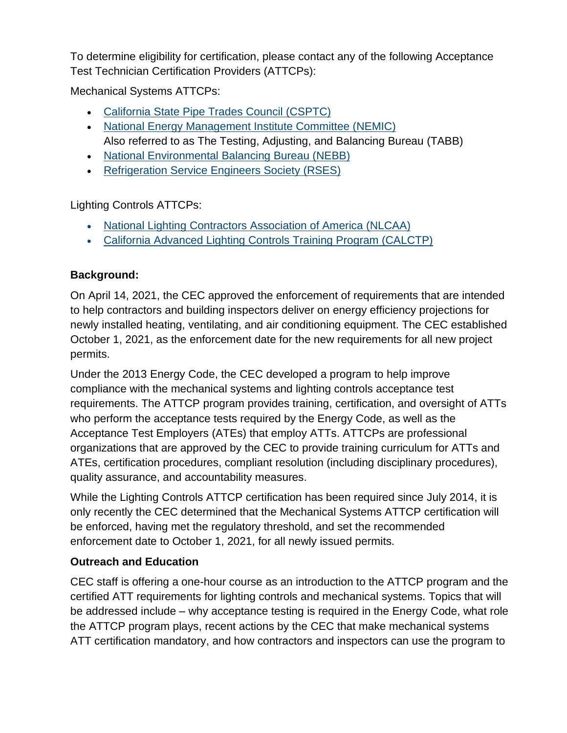To determine eligibility for certification, please contact any of the following Acceptance Test Technician Certification Providers (ATTCPs):

Mechanical Systems ATTCPs:

- [California](http://www.calpipes.org/) State Pipe Trades Council (CSPTC)
- National Energy [Management](http://www.attcp.org/) Institute Committee (NEMIC) Also referred to as The Testing, Adjusting, and Balancing Bureau (TABB)
- National [Environmental](http://www.nebb.org/) Balancing Bureau (NEBB)
- [Refrigeration](https://www.rses.org/title24.aspx) Service Engineers Society (RSES)

Lighting Controls ATTCPs:

- National Lighting [Contractors](https://www.nlcaa.org/) Association of America (NLCAA)
- California Advanced Lighting Controls Training Program [\(CALCTP\)](https://www.calctp.org/acceptance-technicians)

# **Background:**

On April 14, 2021, the CEC approved the enforcement of requirements that are intended to help contractors and building inspectors deliver on energy efficiency projections for newly installed heating, ventilating, and air conditioning equipment. The CEC established October 1, 2021, as the enforcement date for the new requirements for all new project permits.

Under the 2013 Energy Code, the CEC developed a program to help improve compliance with the mechanical systems and lighting controls acceptance test requirements. The ATTCP program provides training, certification, and oversight of ATTs who perform the acceptance tests required by the Energy Code, as well as the Acceptance Test Employers (ATEs) that employ ATTs. ATTCPs are professional organizations that are approved by the CEC to provide training curriculum for ATTs and ATEs, certification procedures, compliant resolution (including disciplinary procedures), quality assurance, and accountability measures.

While the Lighting Controls ATTCP certification has been required since July 2014, it is only recently the CEC determined that the Mechanical Systems ATTCP certification will be enforced, having met the regulatory threshold, and set the recommended enforcement date to October 1, 2021, for all newly issued permits.

# **Outreach and Education**

CEC staff is offering a one-hour course as an introduction to the ATTCP program and the certified ATT requirements for lighting controls and mechanical systems. Topics that will be addressed include – why acceptance testing is required in the Energy Code, what role the ATTCP program plays, recent actions by the CEC that make mechanical systems ATT certification mandatory, and how contractors and inspectors can use the program to